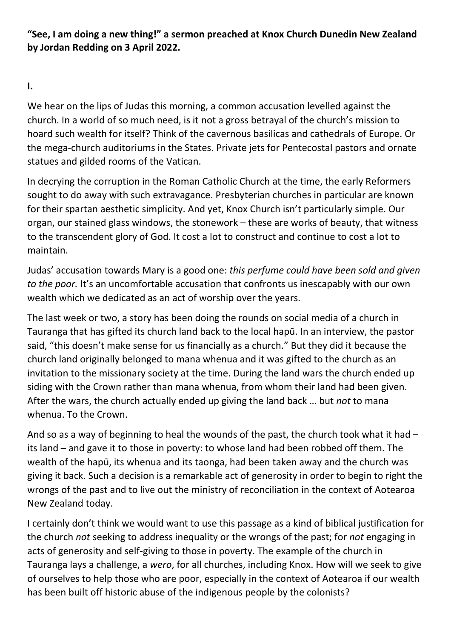"See, I am doing a new thing!" a sermon preached at Knox Church Dunedin New Zealand by Jordan Redding on 3 April 2022.

I.

We hear on the lips of Judas this morning, a common accusation levelled against the church. In a world of so much need, is it not a gross betrayal of the church's mission to hoard such wealth for itself? Think of the cavernous basilicas and cathedrals of Europe. Or the mega-church auditoriums in the States. Private jets for Pentecostal pastors and ornate statues and gilded rooms of the Vatican.

In decrying the corruption in the Roman Catholic Church at the time, the early Reformers sought to do away with such extravagance. Presbyterian churches in particular are known for their spartan aesthetic simplicity. And yet, Knox Church isn't particularly simple. Our organ, our stained glass windows, the stonework – these are works of beauty, that witness to the transcendent glory of God. It cost a lot to construct and continue to cost a lot to maintain.

Judas' accusation towards Mary is a good one: this perfume could have been sold and given to the poor. It's an uncomfortable accusation that confronts us inescapably with our own wealth which we dedicated as an act of worship over the years.

The last week or two, a story has been doing the rounds on social media of a church in Tauranga that has gifted its church land back to the local hapū. In an interview, the pastor said, "this doesn't make sense for us financially as a church." But they did it because the church land originally belonged to mana whenua and it was gifted to the church as an invitation to the missionary society at the time. During the land wars the church ended up siding with the Crown rather than mana whenua, from whom their land had been given. After the wars, the church actually ended up giving the land back ... but not to mana whenua. To the Crown.

And so as a way of beginning to heal the wounds of the past, the church took what it had – its land – and gave it to those in poverty: to whose land had been robbed off them. The wealth of the hapū, its whenua and its taonga, had been taken away and the church was giving it back. Such a decision is a remarkable act of generosity in order to begin to right the wrongs of the past and to live out the ministry of reconciliation in the context of Aotearoa New Zealand today.

I certainly don't think we would want to use this passage as a kind of biblical justification for the church not seeking to address inequality or the wrongs of the past; for not engaging in acts of generosity and self-giving to those in poverty. The example of the church in Tauranga lays a challenge, a wero, for all churches, including Knox. How will we seek to give of ourselves to help those who are poor, especially in the context of Aotearoa if our wealth has been built off historic abuse of the indigenous people by the colonists?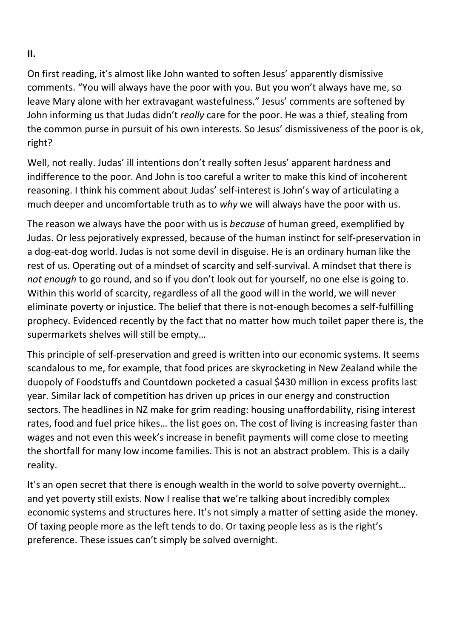II.

On first reading, it's almost like John wanted to soften Jesus' apparently dismissive comments. "You will always have the poor with you. But you won't always have me, so leave Mary alone with her extravagant wastefulness." Jesus' comments are softened by John informing us that Judas didn't really care for the poor. He was a thief, stealing from the common purse in pursuit of his own interests. So Jesus' dismissiveness of the poor is ok, right?

Well, not really. Judas' ill intentions don't really soften Jesus' apparent hardness and indifference to the poor. And John is too careful a writer to make this kind of incoherent reasoning. I think his comment about Judas' self-interest is John's way of articulating a much deeper and uncomfortable truth as to why we will always have the poor with us.

The reason we always have the poor with us is *because* of human greed, exemplified by Judas. Or less pejoratively expressed, because of the human instinct for self-preservation in a dog-eat-dog world. Judas is not some devil in disguise. He is an ordinary human like the rest of us. Operating out of a mindset of scarcity and self-survival. A mindset that there is not enough to go round, and so if you don't look out for yourself, no one else is going to. Within this world of scarcity, regardless of all the good will in the world, we will never eliminate poverty or injustice. The belief that there is not-enough becomes a self-fulfilling prophecy. Evidenced recently by the fact that no matter how much toilet paper there is, the supermarkets shelves will still be empty…

This principle of self-preservation and greed is written into our economic systems. It seems scandalous to me, for example, that food prices are skyrocketing in New Zealand while the duopoly of Foodstuffs and Countdown pocketed a casual \$430 million in excess profits last year. Similar lack of competition has driven up prices in our energy and construction sectors. The headlines in NZ make for grim reading: housing unaffordability, rising interest rates, food and fuel price hikes… the list goes on. The cost of living is increasing faster than wages and not even this week's increase in benefit payments will come close to meeting the shortfall for many low income families. This is not an abstract problem. This is a daily reality.

It's an open secret that there is enough wealth in the world to solve poverty overnight… and yet poverty still exists. Now I realise that we're talking about incredibly complex economic systems and structures here. It's not simply a matter of setting aside the money. Of taxing people more as the left tends to do. Or taxing people less as is the right's preference. These issues can't simply be solved overnight.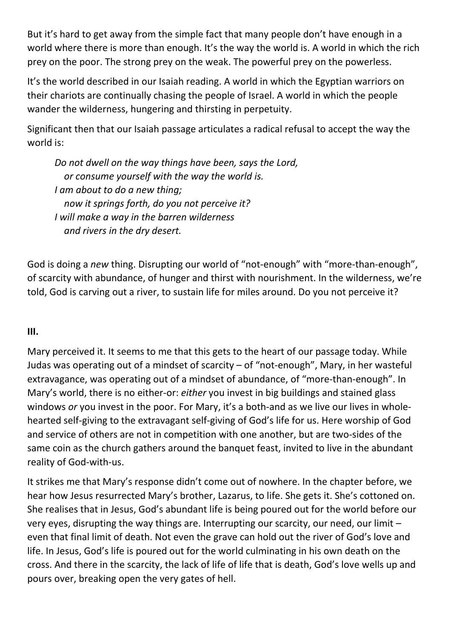But it's hard to get away from the simple fact that many people don't have enough in a world where there is more than enough. It's the way the world is. A world in which the rich prey on the poor. The strong prey on the weak. The powerful prey on the powerless.

It's the world described in our Isaiah reading. A world in which the Egyptian warriors on their chariots are continually chasing the people of Israel. A world in which the people wander the wilderness, hungering and thirsting in perpetuity.

Significant then that our Isaiah passage articulates a radical refusal to accept the way the world is:

Do not dwell on the way things have been, says the Lord, or consume yourself with the way the world is. I am about to do a new thing; now it springs forth, do you not perceive it? I will make a way in the barren wilderness and rivers in the dry desert.

God is doing a new thing. Disrupting our world of "not-enough" with "more-than-enough", of scarcity with abundance, of hunger and thirst with nourishment. In the wilderness, we're told, God is carving out a river, to sustain life for miles around. Do you not perceive it?

III.

Mary perceived it. It seems to me that this gets to the heart of our passage today. While Judas was operating out of a mindset of scarcity – of "not-enough", Mary, in her wasteful extravagance, was operating out of a mindset of abundance, of "more-than-enough". In Mary's world, there is no either-or: either you invest in big buildings and stained glass windows or you invest in the poor. For Mary, it's a both-and as we live our lives in wholehearted self-giving to the extravagant self-giving of God's life for us. Here worship of God and service of others are not in competition with one another, but are two-sides of the same coin as the church gathers around the banquet feast, invited to live in the abundant reality of God-with-us.

It strikes me that Mary's response didn't come out of nowhere. In the chapter before, we hear how Jesus resurrected Mary's brother, Lazarus, to life. She gets it. She's cottoned on. She realises that in Jesus, God's abundant life is being poured out for the world before our very eyes, disrupting the way things are. Interrupting our scarcity, our need, our limit – even that final limit of death. Not even the grave can hold out the river of God's love and life. In Jesus, God's life is poured out for the world culminating in his own death on the cross. And there in the scarcity, the lack of life of life that is death, God's love wells up and pours over, breaking open the very gates of hell.